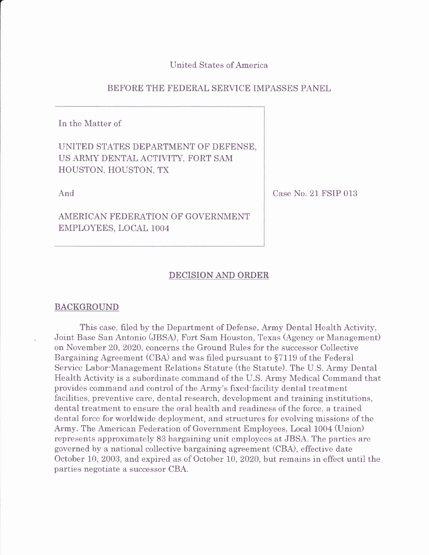United States of America

### BEFORE THE FEDERAL SERVICE IMPASSES PANEL

In the Matter of

# UNITED STATES DEPARTMENT OF DEFENSE, US ARMY DENTAL ACTIVITY, FORT SAM HOUSTON, HOUSTON, TX

And

AMERICAN FEDERATION OF GOVERNMENT EMPLOYEES, LOCAL 1OO4

Case No. 21 FSIP 013

### DECISION AND ORDER

### BACKGROUND

This case, filed by the Department of Defense, Army Dental Health Activity, Joint Base San Antonio (JBSA), Fort Sam Houston, Texas (Agency or Management) on November 20, 2020, concerns the Ground Rules for the successor Collective Bargaining Agreement (CBA) and was filed pursuant to 57119 of the Federal Service Labor-Management Relations Statute (the Statute). The U.S. Army Dental Health Activity is a subordinate command of the U.S. Army Medical Command that provides command and control of the Army's fixed-facility dental treatment facilities, preventive care, dental research, development and training institutions, dental treatment to ensure the oral health and readiness of the force, a trained dental force for worldwide deployment, and structures for evolving missions of the Army. The American Federation of Government Employees, Local 1004 (Union) represents approximately 83 bargaining unit employees at JBSA. The parties are governed by a national collective bargaining agreement (CBA), effective date October 10, 2003, and expired as of October I0, 2020, but remains in effect until the parties negotiate a successor CBA.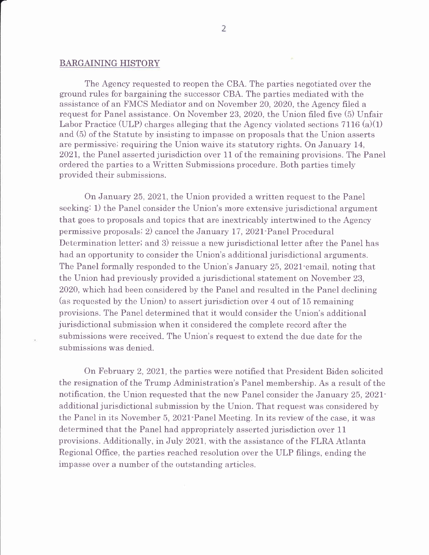### BARGAINING HISTORY

The Agency requested to reopen the CBA. The parties negotiated over the ground rules for bargaining the successor CBA. The parties mediated with the assistance of an FMCS Mediator and on November 20, 2020, the Agency filed a request for Panel assistance. On November 23,2020, the Union filed five (S) Unfair Labor Practice (ULP) charges alleging that the Agency violated sections 7116 (a)(1) and (5) of the Statute by insisting to impasse on proposals that the Union asserts are permissive; requiring the Union waive its statutory rights. On January 14, 2021, the Panel asserted jurisdiction over 11 of the remaining provisions. The Panel ordered the parties to a Written Submissions procedure. Both parties timely provided their submissions.

On January 25,2021, the Union provided a written request to the Panel seeking: 1) the Panel consider the Union's more extensive jurisdictional argument that goes to proposals and topics that are inextricably intertwined to the Agency permissive proposals; 2) cancel the January 17, 2021-Panel Procedural Determination letter; and 3) reissue a new jurisdictional letter after the Panel has had an opportunity to consider the Union's additional jurisdictional arguments. The Panel formally responded to the Union's January 25, 2021 email, noting that the Union had previously provided a jurisdictional statement on November 23, 2020. which had been considered by the Panel and resulted in the Panel declining (as requested by the Union) to assert jurisdiction over 4 out of 15 remaining provisions. The Panel determined that it would consider the Union's additional jurisdictional submission when it considered the complete record after the submissions were received. The Union's request to extend the due date for the submissions was denied.

On February 2,202I, the parties were notified that President Biden solicited the resignation of the Trump Administration's Panel membership. As a result of the notification, the Union requested that the new Panel consider the January 25, 2021additional jurisdictional submission by the Union. That request was considered by the Panel in its November 5, 2021 Panel Meeting. In its review of the case, it was determined that the Panel had appropriately asserted jurisdiction over 11 provisions. Additionally, in July 2021, with the assistance of the FLRA Atlanta Regional Office, the parties reached resolution over the ULP filings, ending the impasse over a nurnber of the outstanding articles.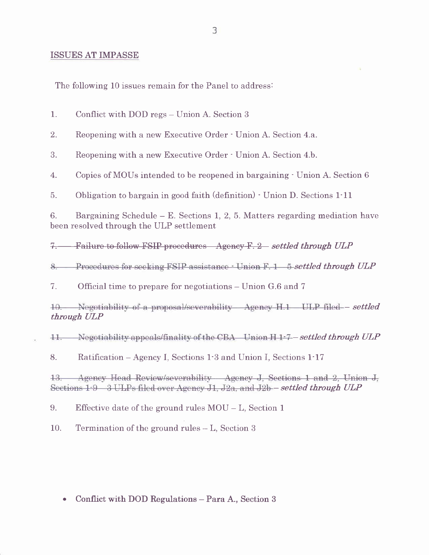### ISSUES AT IMPASSE

The following 10 issues remain for the Panel to address:

|  | Conflict with DOD regs – Union A. Section 3 |
|--|---------------------------------------------|
|--|---------------------------------------------|

2. Reopening with a new Executive Order · Union A. Section 4.a.

3. Reopening with a new Executive Order - Union A. Section 4.b.

4. Copies of MOUs intended to be reopened in bargaining - Union A. Section <sup>6</sup>

5. Obligation to bargain in good faith (definition) - Union D. Sections 1-11

6. Bargaining Schedule  $-$  E. Sections 1, 2, 5. Matters regarding mediation have been resolved through the ULP settlement

7. Failure to follow FSIP procedures Agency F. 2 settled through ULP

8. Procedures for seeking  $FSIP$  assistance  $\cdot$  Union  $F. 1 - 5$  settled through ULP

7. Official time to prepare for negotiations – Union G.6 and 7

Negotiability of a proposal/severability Agency H.1 ULP filed - settled  $10.$ through ULP

 $\pm$ Negotiability appeals/finality of the CBA Union  $H_1$ -7 – settled through  $ULP$ 

8. Ratification – Agency I, Sections 1.3 and Union I, Sections 1.17

Agency Head Review/severability Agency J, Sections 1 and 2, Union J,  $13.$ Sections  $1:9 \quad 3$  ULPs filed over Agency J1, J2a, and J2b – settled through ULP

9. Effective date of the ground rules MOU - L, Section <sup>1</sup>

10. Termination of the ground rules - L, Section <sup>3</sup>

. Conflict with DOD Regulations - Para A., Section 3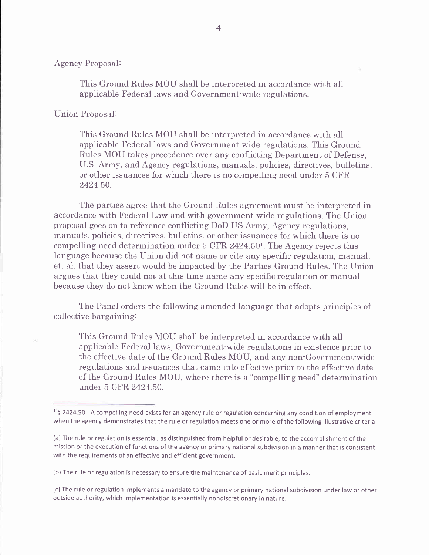### Agency Proposal:

This Ground Rules MOU shall be interpreted in accordance with all applicable Federal laws and Government-wide regulations.

### Union Proposal:

This Ground Rules MOU shall be interpreted in accordance with all applicable Federal laws and Government-wide regulations. This Ground Rules MOU takes precedence over any conflicting Department of Defense, U.S. Army, and Agency regulations, manuals, policies, directives, bulletins, or other issuances for which there is no compelling need under 5 CFR 2424.50.

The parties agree that the Ground Rules agreement must be interpreted in accordance with Federal Law and with government-wide regulations. The Union proposal goes on to reference conflicting DoD US Army, Agency regulations, manuals, policies, directives, bulletins, or other issuances for which there is no compelling need determination under 5 CFR 2424.50<sup>1</sup>. The Agency rejects this Ianguage because the Union did not name or cite any specific regulation, manual, et. aI. that they assert would be impacted by the Parties Ground Rules. The Union argues that they could not at this time name any specific regulation or manual because they do not know when the Ground Rules will be in effect.

The Panel orders the following amended language that adopts principles of collective bargaining:

This Ground Rules MOU shall be interpreted in accordance with all applicable Federal laws, Government-wide regulations in existence prior to the effective date of the Ground Rules MOU, and any non-Government-wide regulations and issuances that came into effective prior to the effective date of the Ground Rules MOU, where there is a "compelling need" determination under 5 CFR 2424.50.

 $1\overline{5}$  2424.50 - A compelling need exists for an agency rule or regulation concerning any condition of employment when the agency demonstrates that the rule or regulation meets one or more of the following illustrative criteria:

<sup>(</sup>a) The rule or regulation is essential, as distinguished from helpful or desirable, to the accomplishment of the mission orthe execution of functions of the agency or primary national subdivision in a mannerthat is consistent with the requirements of an effective and efficient government.

<sup>(</sup>b) The rule or regulation is necessary to ensure the maintenance of basic merit principles.

<sup>(</sup>c) The rule or regulation implements a mandate to the agency or primary national subdivision under law or other outside authority, which implementation is essentially nondiscretionary in nature.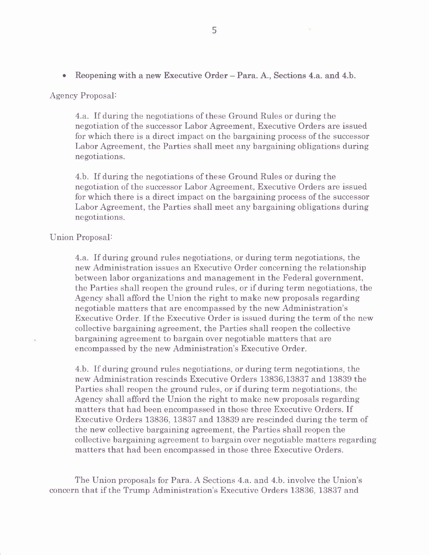### Agency Proposal:

4.a. If during the negotiations of these Ground Rules or during the negotiation of the successor Labor Agreement, Executive Orders are issued for which there is a direct impact on the bargaining process of the successor Labor Agreement, the Parties shall meet any bargaining obligations during negotiations.

4.b. If during the negotiations of these Ground Rules or during the negotiation of the successor Labor Agreement, Executive Orders are issued for which there is a direct impact on the bargaining process of the successor Labor Agreement, the Parties shall meet any bargaining obligations during negotiations.

### Union Proposal:

4.a. If during ground rules negotiations, or during term negotiations, the new Administration issues an Executive Order concerning the relationship between labor organizations and management in the Federal government, the Parties shall reopen the ground rules, or if during term negotiations, the Agency shall afford the Union the right to make new proposals regarding negotiable matters that are encompassed by the new Administration's Executive Order. If the Executive Order is issued during the term of the new collective bargaining agreement, the Parties shall reopen the collective bargaining agreement to bargain over negotiable matters that are encompassed by the new Administration's Executive Order.

4.b. If during ground rules negotiations, or during term negotiations, the new Administration rescinds Executive Orders 13836,13837 and 13839 the Parties shall reopen the ground rules, or if during term negotiations, the Agency shall afford the Union the right to make new proposals regarding matters that had been encompassed in those three Executive Orders. If Executive Orders 13836, 13837 and 13839 are rescinded during the term of the new collective bargaining agreement, the Parties shall reopen the collective bargaining agreement to bargain over negotiable matters regarding matters that had been encompassed in those three Executive Orders.

The Union proposals for Para. A Sections 4.a. and 4.b. involve the Union's concern that if the Trump Administration's Executive Orders 13836, 13837 and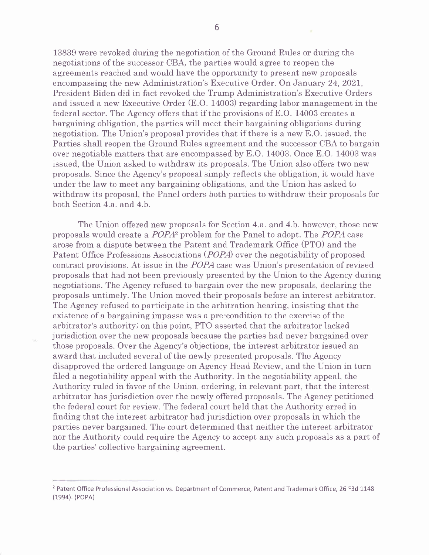13839 were revoked during the negotiation of the Ground Rules or during the negotiations of the successor CBA, the parties would agree to reopen the agreements reached and would have the opportunity to present new proposals encompassing the new Administration's Executive Order. On January 24,2O2I, President Biden did in fact revoked the Trump Administration's Executive Orders and issued a new Executive Order (E.O. 14003) regarding labor management in the federal sector. The Agency offers that if the provisions of E.O. 14003 creates a bargaining obligation, the parties will meet their bargaining obligations during negotiation. The Union's proposal provides that if there is a new E.O. issued, the Parties shall reopen the Ground Rules agreement and the successor CBA to bargain over negotiable matters that are encompassed by E.O. 14003. Once E.O. 14003 was issued, the Union asked to withdraw its proposals. The Union also offers two new proposals. Since the Agency's proposal simply reflects the obligation, it would have under the law to meet any bargaining obligations, and the Union has asked to withdraw its proposal, the Panel orders both parties to withdraw their proposals for both Section 4.a. and 4.b.

The Union offered new proposals for Section 4.a. and 4.b. however, those new proposals would create a POPA2 problem for the Panel to adopt. The POPA case arose from a dispute between the Patent and Trademark Office (PTO) and the Patent Office Professions Associations (POPA) over the negotiability of proposed contract provisions. At issue in the POPA case was Union's presentation of revised proposals that had not been previously presented by the Union to the Agency during negotiations. The Agency refused to bargain over the new proposals, declaring the proposals untimely. The Union moved their proposals before an interest arbitrator. The Agency refused to participate in the arbitration hearing, insisting that the existence of a bargaining impasse was a pre-condition to the exercise of the arbitrator's authority; on this point, PTO asserted that the arbitrator lacked jurisdiction over the new proposals because the parties had never bargained over those proposals. Over the Agency's objections, the interest arbitrator issued an award that included several of the newly presented proposals. The Agency disapproved the ordered language on Agency Head Review, and the Union in turn frled a negotiability appeal with the Authority. In the negotiability appeal, the Authority ruled in favor of the Union, ordering, in relevant part, that the interest arbitrator has jurisdiction over the newly offered proposals. The Agency petitioned the federal court for review. The federal court held that the Authority erred in finding that the interest arbitrator had jurisdiction over proposals in which the parties never bargained. The court determined that neither the interest arbitrator nor the Authority could require the Agency to accept any such proposals as a part of the parties' collective bargaining agreement.

<sup>&</sup>lt;sup>2</sup> Patent Office Professional Association vs. Department of Commerce, Patent and Trademark Office, 26 F3d 1148 (1994). (POPA)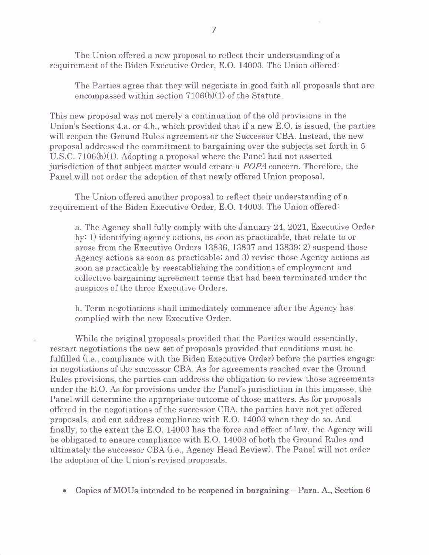The Union offered a new proposal to reflect their understanding of a requirement of the Biden Executive Order, E.O. 14003. The Union offered:

The Parties agree that they will negotiate in good faith all proposals that are encompassed within section 7106(b)(1) of the Statute.

This new proposal was not merely a continuation of the old provisions in the Union's Sections 4.a. or 4.b., which provided that if a new E.O. is issued, the parties will reopen the Ground Rules agreement or the Successor CBA. Instead, the new proposal addressed the commitment to bargaining over the subjects set forth in <sup>5</sup> U.S.C. 7106(b)(1). Adopting a proposal where the Panel had not asserted jurisdiction of that subject matter would create a POPA concern. Therefore, the Panel will not order the adoption of that newly offered Union proposal.

The Union offered another proposal to reflect their understanding of a requirement of the Biden Executive Order, E.O. 14003. The Union offered:

a. The Agency shall fully comply with the January 24, 2021, Executive Order by: t) identifying agency actions, as soon as practicable, that relate to or arose from the Executive Orders 13836, 13837 and 13839i 2) suspend those Agency actions as soon as practicable; and 3) revise those Agency actions as soon as practicable by reestablishing the conditions of employment and collective bargaining agreement terms that had been terminated under the auspices of the three Executive Orders.

b. Term negotiations shall immediately commence after the Agency has complied with the new Executive Order.

While the original proposals provided that the Parties would essentially, restart negotiations the new set of proposals provided that conditions must be fulfilled (i.e., compliance with the Biden Executive Order) before the parties engage in negotiations of the successor CBA. As for agreements reached over the Ground Rules provisions, the parties can address the obligation to review those agreements under the E.O. As for provisions under the Panel's jurisdiction in this impasse, the Panel will determine the appropriate outcome of those matters. As for proposals offered in the negotiations of the successor CBA, the parties have not yet offered proposals, and can address compliance with E.O. 14003 when they do so. And finally, to the extent the E.O. 14003 has the force and effect of law, the Agency will be obligated to ensure compliance with E.O. 14003 of both the Ground Rules and ultimately the successor CBA (i.e., Agency Head Review). The Panel will not order the adoption of the Union's revised proposals.

. Copies of MOUs intended to be reopened in bargaining - Para. A., Section 6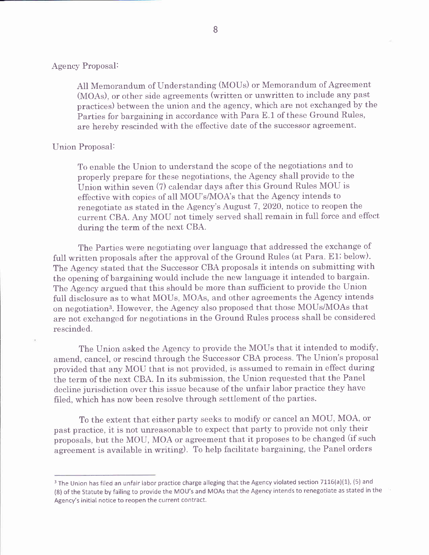### Agency Proposal:

All Memorandum of Understanding (MOUs) or Memorandum of Agreement (MOAs), or other side agreements (written or unwritten to include any past practices) between the union and the agency, which are not exchanged by the Parties for bargaining in accordance with Para E.1 of these Ground Rules, are hereby rescinded with the effective date of the successor agreement.

### Union Proposal:

To enable the Union to understand the scope of the negotiations and to properly prepare for these negotiations, the Agency shall provide to the Union within seven (7) calendar days after this Ground Rules MOU is effective with copies of all MOU's/MOA's that the Agency intends to renegotiate as stated in the Agency's August 7,2020, notice to reopen the current CBA. Any MOU not timely served shall remain in full force and effect during the term of the next CBA.

The Parties were negotiating over language that addressed the exchange of full written proposals after the approval of the Ground Rules (at Para. E1; below). The Agency stated that the Successor CBA proposals it intends on submitting with the opening of bargaining would include the new language it intended to bargain. The Agency argued that this should be more than sufficient to provide the Union full disclosure as to what MOUs, MOAs, and other agreements the Agency intends on negotiation3. However, the Agency also proposed that those MOUs/MOAs that are not exchanged for negotiations in the Ground Rules process shall be considered rescinded.

The Union asked the Agency to provide the MOUs that it intended to modify, amend, cancel, or rescind through the Successor CBA process. The Union's proposal provided that any MOU that is not provided, is assumed to remain in effect during the term of the next CBA. In its submission, the Union requested that the Panel decline jurisdiction over this issue because of the unfair labor practice they have filed, which has now been resolve through settlement of the parties.

To the extent that either party seeks to modify or cancel an MOU, MOA, or past practice, it is not unreasonable to expect that party to provide not only their proposals, but the MOU, MOA or agreement that it proposes to be changed (if such agreement is available in writing). To help facilitate bargaining, the Panel orders

<sup>&</sup>lt;sup>3</sup> The Union has filed an unfair labor practice charge alleging that the Agency violated section 7116(a)(1), (5) and (8) of the Statute by failing to provide the MOU's and MOAs that the Agency intends to renegotiate as stated in the Agency's initial notice to reopen the current contract.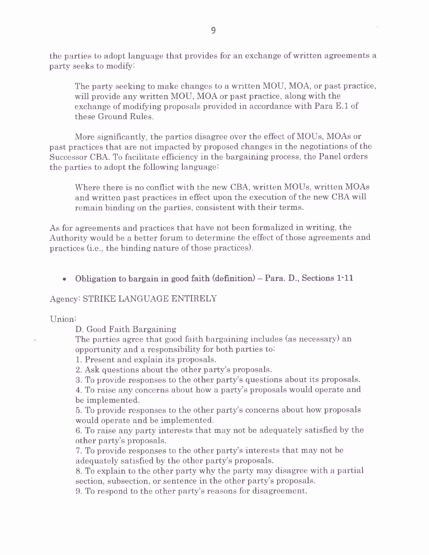the parties to adopt language that provides for an exchange of written agreements a party seeks to modify:

The party seeking to make changes to a written MOU, MOA, or past practice, will provide any written MOU, MOA or past practice, along with the exchange of modifying proposals provided in accordance with Para E.1 of these Ground Rules.

More signifrcantly, the parties disagree over the effect of MOUs, MOAs or past practices that are not impacted by proposed changes in the negotiations of the Successor CBA. To facilitate efficiency in the bargaining process, the Panel orders the parties to adopt the following language:

Where there is no conflict with the new CBA, written MOUs, written MOAs and written past practices in effect upon the execution of the new CBA will remain binding on the parties, consistent with their terms.

As for agreements and practices that have not been formalized in writing, the Authority would be a better forum to determine the effect of those agreements and practices (i.e., the binding nature of those practices).

• Obligation to bargain in good faith  $(definition)$  – Para. D., Sections 1.11

### Agency: STRIKE LANGUAGE ENTIRELY

Union:

D. Good Faith Bargaining

The parties agree that good faith bargaining includes (as necessary) an opportunity and a responsibility for both parties to:

1. Present and explain its proposals.

2. Ask questions about the other party's proposals.

3. To provide responses to the other party's questions about its proposals.

4. To raise any concerns about how a party's proposals would operate and be implemented.

5. To provide responses to the other party's concerns about how proposals would operate and be implemented.

6. To raise any party interests that may not be adequately satisfred by the other party's proposals.

7. To provide responses to the other party's interests that may not be adequately satisfied by the other party's proposals.

8. To explain to the other party why the party may disagree with a partial section, subsection, or sentence in the other party's proposals.

9. To respond to the other party's reasons for disagreement.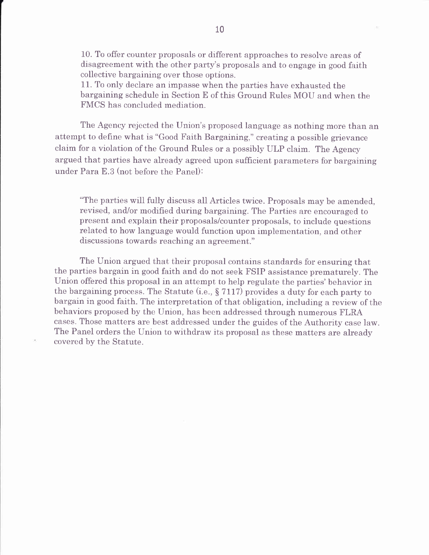10. To offer counter proposals or different approaches to resolve areas of disagreement with the other party's proposals and to engage in good faith collective bargaining over those options.

11. To only declare an impasse when the parties have exhausted the bargaining schedule in Section E of this Ground Rules MOU and when the FMCS has concluded mediation.

The Agency rejected the Union's proposed language as nothing more than an attempt to defrne what is "Good Faith Bargaining," creating a possible grievance claim for a violation of the Ground Rules or a possibly ULP claim. The Agency argued that parties have already agreed upon sufficient parameters for bargaining under Para E.3 (not before the Panel):

"The parties will fully discuss all Articles twice. Proposals may be amended, revised, and/or modified during bargaining. The Parties are encouraged to present and explain their proposals/counter proposals, to include questions related to how language would function upon implementation, and other discussions towards reaching an agreement."

The Union argued that their proposal contains standards for ensuring that the parties bargain in good faith and do not seek FSIP assistance prematurely. The Union offered this proposal in an attempt to help regulate the parties'behavior in the bargaining process. The Statute (i.e., S 7117) provides a duty for each party to bargain in good faith. The interpretation of that obligation, including a review of the behaviors proposed by the Union, has been addressed through numerous FLRA cases. Those matters are best addressed under the guides of the Authority case law. The Panel orders the Union to withdraw its proposal as these matters are already covered by the Statute.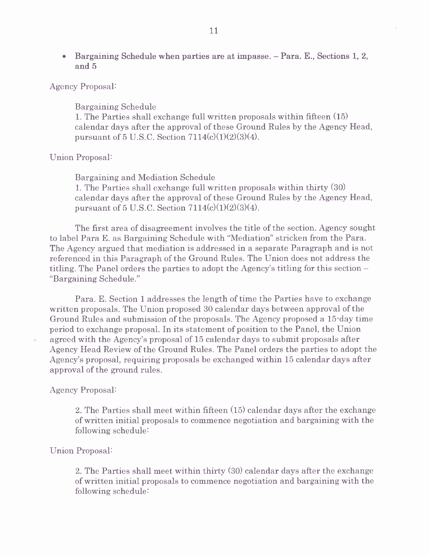. Bargaining Schedule when parties are at impasse. - Para. E., Sections 1, 2, and 5

### Agency Proposal:

Bargaining Schedule 1. The Parties shall exchange full written proposals within fifteen  $(15)$ calendar days after the approval of these Ground Rules by the Agency Head, pursuant of 5 U.S.C. Section  $7114(c)(1)(2)(3)(4)$ .

### Union Proposal:

Bargaining and Mediation Schedule 1. The Parties shall exchange full written proposals within thirty (30) calendar days after the approval of these Ground Rules by the Agency Head, pursuant of 5 U.S.C. Section  $7114(c)(1)(2)(3)(4)$ .

The first area of disagreement involves the title of the section. Agency sought to label Para E. as Bargaining Schedule with "Mediation" stricken from the Para. The Agency argued that mediation is addressed in a separate Paragraph and is not referenced in this Paragraph of the Ground Rules. The Union does not address the titling. The Panel orders the parties to adopt the Agency's titling for this section - "Bargaining Schedule."

Para. E. Section 1 addresses the length of time the Parties have to exchange written proposals. The Union proposed 30 calendar days between approval of the Ground Rules and submission of the proposals. The Agency proposed a 15-day time period to exchange proposal. In its statement of position to the Panel, the Union agreed with the Agency's proposal of 15 calendar days to submit proposals after Agency Head Review of the Ground Rules. The Panel orders the parties to adopt the Agency's proposal, requiring proposals be exchanged within 15 calendar days after approval of the ground rules.

#### Agency Proposal:

2. The Parties shall meet within fifteen (15) calendar days after the exchange of written initial proposals to commence negotiation and bargaining with the following schedule:

### Union Proposal:

2. The Parties shall meet within thirty (30) calendar days after the exchange of written initial proposals to commence negotiation and bargaining with the following schedule: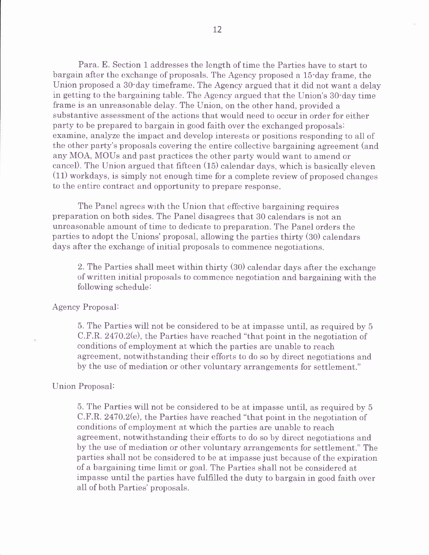Para. E. Section l addresses the length of time the Parties have to start to bargain after the exchange of proposals. The Agency proposed a 15-day frame, the Union proposed a 30'day timeframe. The Agency argued that it did not want a delay in getting to the bargaining table. The Agency argued that the Union's 30-day time frame is an unreasonable delay. The Union, on the other hand, provided a substantive assessment of the actions that would need to occur in order for either party to be prepared to bargain in good faith over the exchanged proposals: examine, analyze the impact and develop interests or positions responding to all of the other party's proposals covering the entire collective bargaining agreement (and any MOA, MOUs and past practices the other party would want to amend or cancel). The Union argued that fifteen  $(15)$  calendar days, which is basically eleven  $(11)$  workdays, is simply not enough time for a complete review of proposed changes to the entire contract and opportunity to prepare response.

The Panel agrees with the Union that effective bargaining requires preparation on both sides. The Panel disagrees that 30 calendars is not an unreasonable amount of time to dedicate to preparation. The Panel orders the parties to adopt the Unions'proposal, allowing the parties thirty (30) calendars days after the exchange of initial proposals to commence negotiations.

2. The Parties shall meet within thirty (30) calendar days after the exchange of written initial proposals to commence negotiation and bargaining with the following schedule:

### Agency Proposal:

5. The Parties will not be considered to be at impasse until, as required by <sup>5</sup> C.F.R. 247O.2G), the Parties have reached "that point in the negotiation of conditions of employment at which the parties are unable to reach agreement, notwithstanding their efforts to do so by direct negotiations and by the use of mediation or other voluntary arrangements for settlement."

#### Union Proposal:

5. The Parties will not be considered to be at impasse until, as required by <sup>5</sup> C.F.R. 2470.2G), the Parties have reached "that point in the negotiation of conditions of employment at which the parties are unable to reach agreement, notwithstanding their efforts to do so by direct negotiations and by the use of mediation or other voluntary arrangements for settlement." The parties shall not be considered to be at impasse just because of the expiration of a bargaining time limit or goal. The Parties shall not be considered at impasse until the parties have fulfilled the duty to bargain in good faith over all of both Parties' proposals.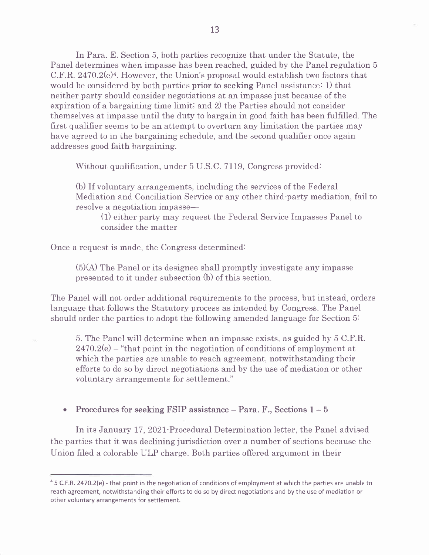In Para. E. Section 5, both parties recognize that under the Statute, the Panel determines when impasse has been reached, guided by the Panel regulation <sup>5</sup> C.F.R.  $2470.2(e)^4$ . However, the Union's proposal would establish two factors that would be considered by both parties prior to seeking Panel assistance: 1) that neither party should consider negotiations at an impasse just because of the expiration of a bargaining time limiti and 2) the Parties should not consider themselves at impasse until the duty to bargain in good faith has been fulfiIled. The first qualifier seems to be an attempt to overturn any limitation the parties may have agreed to in the bargaining schedule, and the second qualifier once again addresses good faith bargaining.

Without qualification, under 5 U.S.C. 7119, Congress provided:

(b) If voluntary arrangements, including the services of the Federal Mediation and Conciliation Service or any other third-party mediation, fail to resolve a negotiation impasse—

 $(1)$  either party may request the Federal Service Impasses Panel to consider the matter

Once a request is made, the Congress determined:

 $(5)(A)$  The Panel or its designee shall promptly investigate any impasse presented to it under subsection (b) of this section.

The Panel will not order additional requirements to the process, but instead, orders language that follows the Statutory process as intended by Congress. The Panel should order the parties to adopt the following amended language for Section 5:

5. The Panel will determine when an impasse exists, as guided by 5 C.F.R.  $2470.2(e)$  – "that point in the negotiation of conditions of employment at which the parties are unable to reach agreement, notwithstanding their efforts to do so by direct negotiations and by the use of mediation or other voluntary arrangements for settlement."

• Procedures for seeking FSIP assistance  $-$  Para. F., Sections  $1-5$ 

In its January 17, 2021 Procedural Determination letter, the Panel advised the parties that it was declining jurisdiction over a number of sections because the Union filed a colorable ULP charge. Both parties offered argument in their

 $45$  C.F.R. 2470.2(e) - that point in the negotiation of conditions of employment at which the parties are unable to reach agreement, notwithstanding their efforts to do so by direct negotiations and by the use of mediation or other voluntary arrangements for settlement.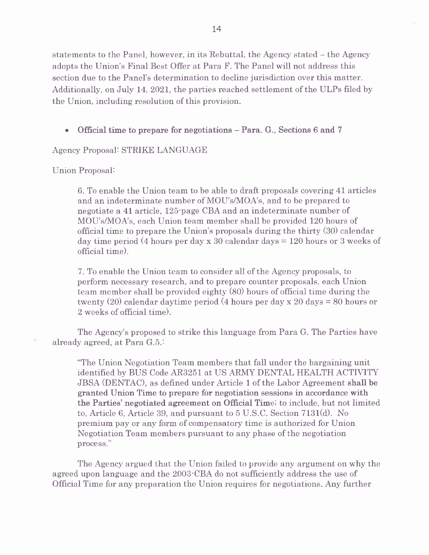statements to the Panel, however, in its Rebuttal, the Agency stated – the Agency adopts the Union's Final Best Offer at Para F. The Panel will not address this section due to the Panel's determination to decline jurisdiction over this matter. Additionally, on July 14, 2021, the parties reached settlement of the ULPs filed by the Union, including resolution of this provision.

. Official time to prepare for negotiations - Para- G., Sections 6 and <sup>7</sup>

Agency Proposal: STRIKE LANGUAGE

Union Proposal:

6. To enable the Union team to be able to draft proposals covering 41 articles and an indeterminate number of MOU's/MOA's, and to be prepared to negotiate a 41 article, 125-page CBA and an indeterminate number of MOU's/MOA's, each Union team member shall be provided 120 hours of official time to prepare the Union's proposals during the thirty (30) calendar day time period (4 hours per day x 30 calendar days = I2O hours or 3 weeks of official time).

7. To enable the Union team to consider all of the Agency proposals, to perform necessary research, and to prepare counter proposals, each Union team member shall be provided eighty (80) hours of official time during the twenty (20) calendar daytime period (4 hours per day x 20 days = 80 hours or 2 weeks of official time).

The Agency's proposed to strike this language from Para G. The Parties have already agreed, at Para G.5.:

"The Union Negotiation Team members that fall under the bargaining unit identified by BUS Code AR3251 at US ARMY DENTAL HEALTH ACTIVITY JBSA (DENTAC), as defined under Article 1 of the Labor Agreement shall be granted Union Time to prepare for negotiation sessions in accordance with the Parties' negotiated agreement on Official Time; to include, but not limited to, Article 6, Article 39, and pursuant to  $5$  U.S.C. Section 7131(d). No premium pay or any form of compensatory time is authorized for Union Negotiation Team members pursuant to any phase of the negotiation process."

The Agency argued that the Union failed to provide any argument on why the agreed upon language and the 2003-CBA do not suffrciently address the use of Offrcial Time for any preparation the Union requires for negotiations. Any further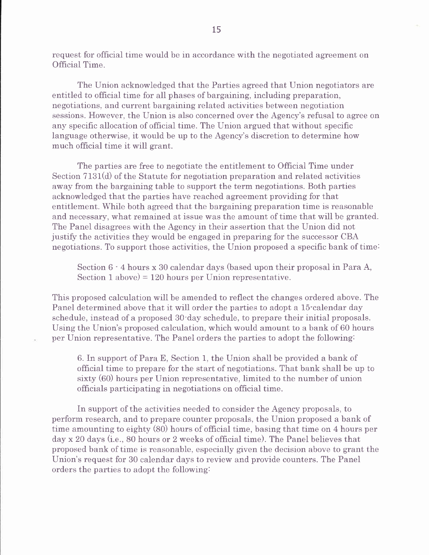request for official time would be in accordance with the negotiated agreement on Official Time.

The Union acknowledged that the Parties agreed that Union negotiators are entitled to official time for all phases of bargaining, including preparation, negotiations, and current bargaining related activities between negotiation sessions. However, the Union is also concerned over the Agency's refusal to agree on any specific allocation of official time. The Union argued that without specific language otherwise, it would be up to the Agency's discretion to determine how much official time it will grant.

The parties are free to negotiate the entitlement to Official Time under Section  $7131(d)$  of the Statute for negotiation preparation and related activities away from the bargaining table to support the term negotiations. Both parties acknowledged that the parties have reached agreement providing for that entitlement. While both agreed that the bargaining preparation time is reasonable and necessary, what remained at issue was the amount of time that will be granted. The Panel disagrees with the Agency in their assertion that the Union did not justify the activities they would be engaged in preparing for the successor CBA negotiations. To support those activities, the Union proposed a specific bank of time:

Section  $6 \cdot 4$  hours x 30 calendar days (based upon their proposal in Para A, Section 1 above) =  $120$  hours per Union representative.

This proposed calculation will be amended to reflect the changes ordered above. The Panel determined above that it will order the parties to adopt a 15-calendar day schedule, instead of a proposed 30-day schedule, to prepare their initial proposals. Using the Union's proposed calculation, which would amount to a bank of 60 hours per Union representative. The Panel orders the parties to adopt the following:

6. In support of Para E, Section 1, the Union shall be provided a bank of official time to prepare for the start of negotiations. That bank shall be up to sixty (60) hours per Union representative, limited to the number of union officials participating in negotiations on official time.

In support of the activities needed to consider the Agency proposals, to perform research, and to prepare counter proposals, the Union proposed a bank of time amounting to eighty (80) hours of official time, basing that time on 4 hours per day x 20 days (i.e., 80 hours or 2 weeks of official time). The Panel believes that proposed bank of time is reasonable, especially given the decision above to grant the Union's request for 30 calendar days to review and provide counters. The Panel orders the parties to adopt the following: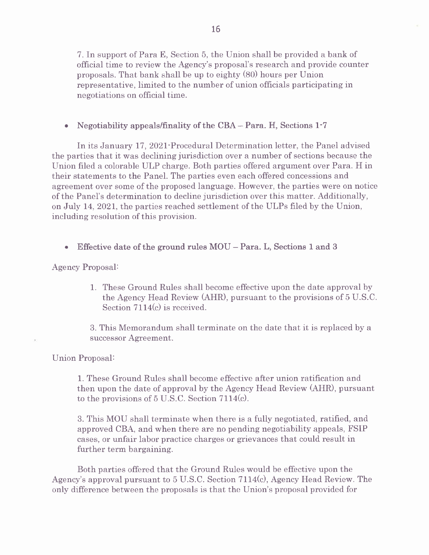7. In support of Para E, Section 5, the Union shall be provided a bank of official time to review the Agency's proposal's research and provide counter proposals. That bank shall be up to eighty (80) hours per Union representative, limited to the number of union offrcials participating in negotiations on official time.

## • Negotiability appeals/finality of the CBA - Para. H, Sections 1-7

In its January 17, 2021 Procedural Determination letter, the Panel advised the parties that it was declining jurisdiction over a number of sections because the Union filed a colorable ULP charge. Both parties offered argument over Para. H in their statements to the Panel. The parties even each offered concessions and agreement over some of the proposed language. However, the parties were on notice of the Panel's determination to decline jurisdiction over this matter. Additionally, on JuIy 14, 2O2L, the parties reached settlement of the ULPs filed by the Union, including resolution of this provision.

. Effective date of the ground rules MOU - Para. L, Sections 1 and <sup>3</sup>

Agency Proposal:

1. These Ground Rules shall become effective upon the date approval by the Agency Head Review (AHR), pursuant to the provisions of 5 U.S.C. Section  $7114(c)$  is received.

3. This Memorandum shall terminate on the date that it is replaced by <sup>a</sup> successor Agreement.

Union Proposal:

1. These Ground Rules shall become effective after union ratifrcation and then upon the date of approval by the Agency Head Review (AHR), pursuant to the provisions of  $5 \text{ U.S.C.}$  Section  $7114(c)$ .

3. This MOU shall terminate when there is a fully negotiated, ratifred, and approved CBA, and when there are no pending negotiability appeals. FSIP cases, or unfair labor practice charges or grievances that could result in further term bargaining.

Both parties offered that the Ground Rules would be effective upon the Agency's approval pursuant to 5 U.S.C. Section 7LI4G), Agency Head Review. The only difference between the proposals is that the Union's proposal provided for